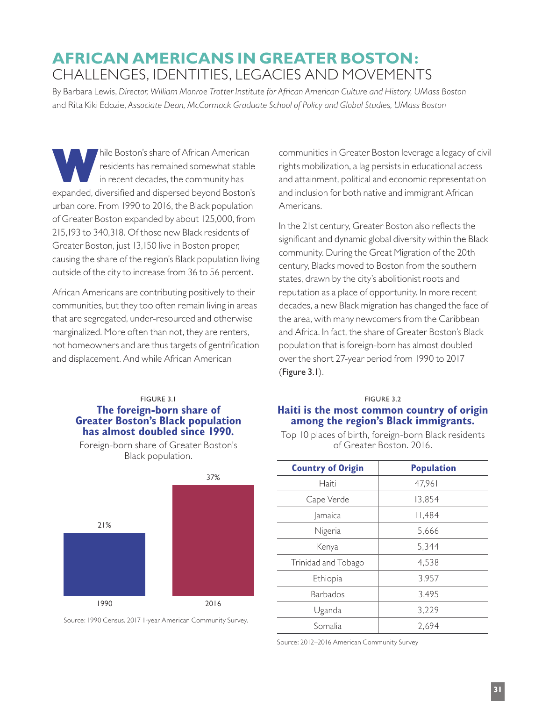# **AFRICAN AMERICANS IN GREATER BOSTON:**  CHALLENGES, IDENTITIES, LEGACIES AND MOVEMENTS

By Barbara Lewis, *Director, William Monroe Trotter Institute for African American Culture and History, UMass Boston*  and Rita Kiki Edozie, *Associate Dean, McCormack Graduate School of Policy and Global Studies, UMass Boston* 

hile Boston's share of African American<br>residents has remained somewhat stable<br>in recent decades, the community has<br>available diversified and dispared beyond Boston's residents has remained somewhat stable in recent decades, the community has expanded, diversified and dispersed beyond Boston's urban core. From 1990 to 2016, the Black population of Greater Boston expanded by about 125,000, from 215,193 to 340,318. Of those new Black residents of Greater Boston, just 13,150 live in Boston proper, causing the share of the region's Black population living outside of the city to increase from 36 to 56 percent.

African Americans are contributing positively to their communities, but they too often remain living in areas that are segregated, under-resourced and otherwise marginalized. More often than not, they are renters, not homeowners and are thus targets of gentrification and displacement. And while African American

# FIGURE 3.1 **The foreign-born share of Greater Boston's Black population has almost doubled since 1990.**

Foreign-born share of Greater Boston's Black population.



Source: 1990 Census. 2017 1-year American Community Survey.

communities in Greater Boston leverage a legacy of civil rights mobilization, a lag persists in educational access and attainment, political and economic representation and inclusion for both native and immigrant African Americans.

In the 21st century, Greater Boston also reflects the significant and dynamic global diversity within the Black community. During the Great Migration of the 20th century, Blacks moved to Boston from the southern states, drawn by the city's abolitionist roots and reputation as a place of opportunity. In more recent decades, a new Black migration has changed the face of the area, with many newcomers from the Caribbean and Africa. In fact, the share of Greater Boston's Black population that is foreign-born has almost doubled over the short 27-year period from 1990 to 2017 (Figure 3.1).

#### FIGURE 3.2

# **Haiti is the most common country of origin among the region's Black immigrants.**

Top 10 places of birth, foreign-born Black residents of Greater Boston. 2016.

| <b>Country of Origin</b> | <b>Population</b> |
|--------------------------|-------------------|
| Haiti                    | 47,961            |
| Cape Verde               | 13,854            |
| Jamaica                  | 11,484            |
| Nigeria                  | 5,666             |
| Kenya                    | 5,344             |
| Trinidad and Tobago      | 4,538             |
| Ethiopia                 | 3,957             |
| <b>Barbados</b>          | 3,495             |
| Uganda                   | 3,229             |
| Somalia                  | 2,694             |

Source: 2012–2016 American Community Survey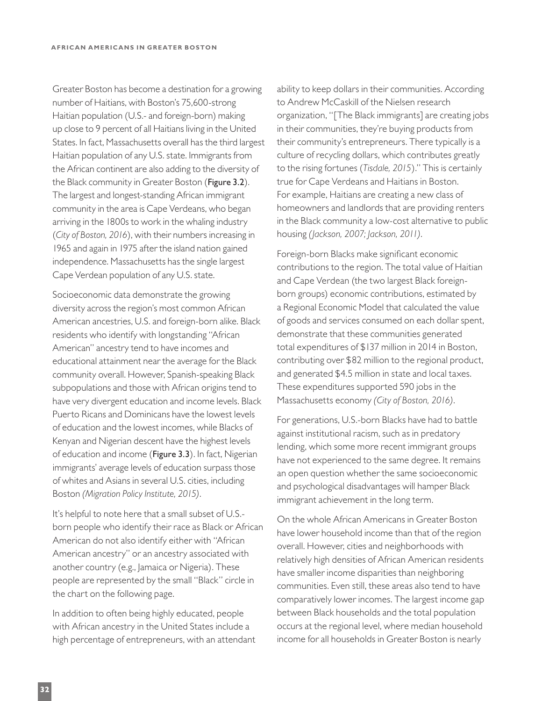Greater Boston has become a destination for a growing number of Haitians, with Boston's 75,600-strong Haitian population (U.S.- and foreign-born) making up close to 9 percent of all Haitians living in the United States. In fact, Massachusetts overall has the third largest Haitian population of any U.S. state. Immigrants from the African continent are also adding to the diversity of the Black community in Greater Boston (Figure 3.2). The largest and longest-standing African immigrant community in the area is Cape Verdeans, who began arriving in the 1800s to work in the whaling industry (*City of Boston, 2016*), with their numbers increasing in 1965 and again in 1975 after the island nation gained independence. Massachusetts has the single largest Cape Verdean population of any U.S. state.

Socioeconomic data demonstrate the growing diversity across the region's most common African American ancestries, U.S. and foreign-born alike. Black residents who identify with longstanding "African American" ancestry tend to have incomes and educational attainment near the average for the Black community overall. However, Spanish-speaking Black subpopulations and those with African origins tend to have very divergent education and income levels. Black Puerto Ricans and Dominicans have the lowest levels of education and the lowest incomes, while Blacks of Kenyan and Nigerian descent have the highest levels of education and income (Figure 3.3). In fact, Nigerian immigrants' average levels of education surpass those of whites and Asians in several U.S. cities, including Boston *(Migration Policy Institute, 2015)*.

It's helpful to note here that a small subset of U.S. born people who identify their race as Black or African American do not also identify either with "African American ancestry" or an ancestry associated with another country (e.g., Jamaica or Nigeria). These people are represented by the small "Black" circle in the chart on the following page.

In addition to often being highly educated, people with African ancestry in the United States include a high percentage of entrepreneurs, with an attendant ability to keep dollars in their communities. According to Andrew McCaskill of the Nielsen research organization, "[The Black immigrants] are creating jobs in their communities, they're buying products from their community's entrepreneurs. There typically is a culture of recycling dollars, which contributes greatly to the rising fortunes (*Tisdale, 2015*)." This is certainly true for Cape Verdeans and Haitians in Boston. For example, Haitians are creating a new class of homeowners and landlords that are providing renters in the Black community a low-cost alternative to public housing *(Jackson, 2007; Jackson, 2011)*.

Foreign-born Blacks make significant economic contributions to the region. The total value of Haitian and Cape Verdean (the two largest Black foreignborn groups) economic contributions, estimated by a Regional Economic Model that calculated the value of goods and services consumed on each dollar spent, demonstrate that these communities generated total expenditures of \$137 million in 2014 in Boston, contributing over \$82 million to the regional product, and generated \$4.5 million in state and local taxes. These expenditures supported 590 jobs in the Massachusetts economy *(City of Boston, 2016)*.

For generations, U.S.-born Blacks have had to battle against institutional racism, such as in predatory lending, which some more recent immigrant groups have not experienced to the same degree. It remains an open question whether the same socioeconomic and psychological disadvantages will hamper Black immigrant achievement in the long term.

On the whole African Americans in Greater Boston have lower household income than that of the region overall. However, cities and neighborhoods with relatively high densities of African American residents have smaller income disparities than neighboring communities. Even still, these areas also tend to have comparatively lower incomes. The largest income gap between Black households and the total population occurs at the regional level, where median household income for all households in Greater Boston is nearly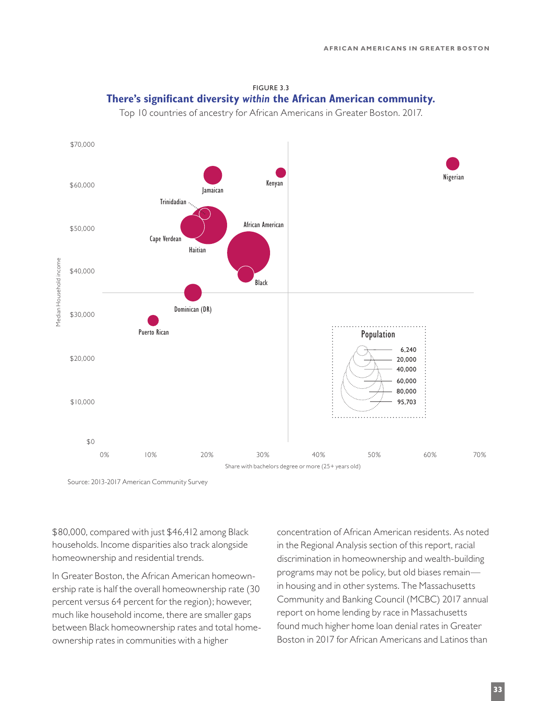



Source: 2013-2017 American Community Survey

\$80,000, compared with just \$46,412 among Black households. Income disparities also track alongside homeownership and residential trends.

In Greater Boston, the African American homeownership rate is half the overall homeownership rate (30 percent versus 64 percent for the region); however, much like household income, there are smaller gaps between Black homeownership rates and total homeownership rates in communities with a higher

concentration of African American residents. As noted in the Regional Analysis section of this report, racial discrimination in homeownership and wealth-building programs may not be policy, but old biases remain in housing and in other systems. The Massachusetts Community and Banking Council (MCBC) 2017 annual report on home lending by race in Massachusetts found much higher home loan denial rates in Greater Boston in 2017 for African Americans and Latinos than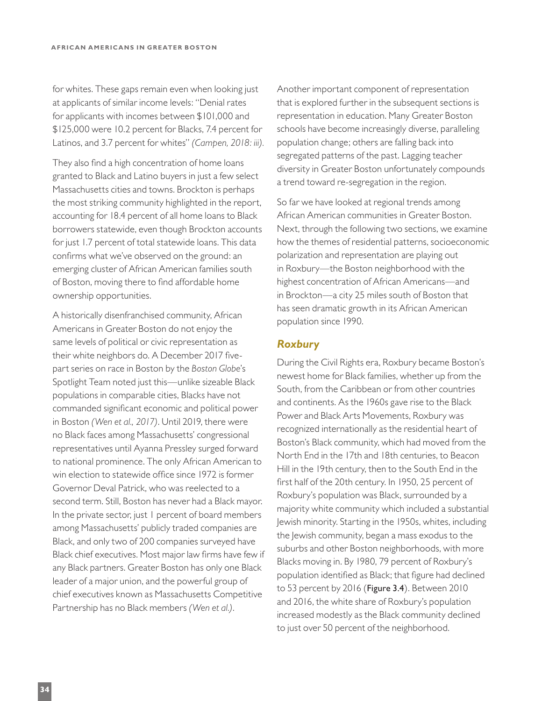for whites. These gaps remain even when looking just at applicants of similar income levels: "Denial rates for applicants with incomes between \$101,000 and \$125,000 were 10.2 percent for Blacks, 7.4 percent for Latinos, and 3.7 percent for whites" *(Campen, 2018: iii).*

They also find a high concentration of home loans granted to Black and Latino buyers in just a few select Massachusetts cities and towns. Brockton is perhaps the most striking community highlighted in the report, accounting for 18.4 percent of all home loans to Black borrowers statewide, even though Brockton accounts for just 1.7 percent of total statewide loans. This data confirms what we've observed on the ground: an emerging cluster of African American families south of Boston, moving there to find affordable home ownership opportunities.

A historically disenfranchised community, African Americans in Greater Boston do not enjoy the same levels of political or civic representation as their white neighbors do. A December 2017 fivepart series on race in Boston by the *Boston Globe*'s Spotlight Team noted just this—unlike sizeable Black populations in comparable cities, Blacks have not commanded significant economic and political power in Boston *(Wen et al., 2017)*. Until 2019, there were no Black faces among Massachusetts' congressional representatives until Ayanna Pressley surged forward to national prominence. The only African American to win election to statewide office since 1972 is former Governor Deval Patrick, who was reelected to a second term. Still, Boston has never had a Black mayor. In the private sector, just 1 percent of board members among Massachusetts' publicly traded companies are Black, and only two of 200 companies surveyed have Black chief executives. Most major law firms have few if any Black partners. Greater Boston has only one Black leader of a major union, and the powerful group of chief executives known as Massachusetts Competitive Partnership has no Black members *(Wen et al.)*.

Another important component of representation that is explored further in the subsequent sections is representation in education. Many Greater Boston schools have become increasingly diverse, paralleling population change; others are falling back into segregated patterns of the past. Lagging teacher diversity in Greater Boston unfortunately compounds a trend toward re-segregation in the region.

So far we have looked at regional trends among African American communities in Greater Boston. Next, through the following two sections, we examine how the themes of residential patterns, socioeconomic polarization and representation are playing out in Roxbury—the Boston neighborhood with the highest concentration of African Americans—and in Brockton—a city 25 miles south of Boston that has seen dramatic growth in its African American population since 1990.

# *Roxbury*

During the Civil Rights era, Roxbury became Boston's newest home for Black families, whether up from the South, from the Caribbean or from other countries and continents. As the 1960s gave rise to the Black Power and Black Arts Movements, Roxbury was recognized internationally as the residential heart of Boston's Black community, which had moved from the North End in the 17th and 18th centuries, to Beacon Hill in the 19th century, then to the South End in the first half of the 20th century. In 1950, 25 percent of Roxbury's population was Black, surrounded by a majority white community which included a substantial Jewish minority. Starting in the 1950s, whites, including the Jewish community, began a mass exodus to the suburbs and other Boston neighborhoods, with more Blacks moving in. By 1980, 79 percent of Roxbury's population identified as Black; that figure had declined to 53 percent by 2016 (Figure 3.4). Between 2010 and 2016, the white share of Roxbury's population increased modestly as the Black community declined to just over 50 percent of the neighborhood.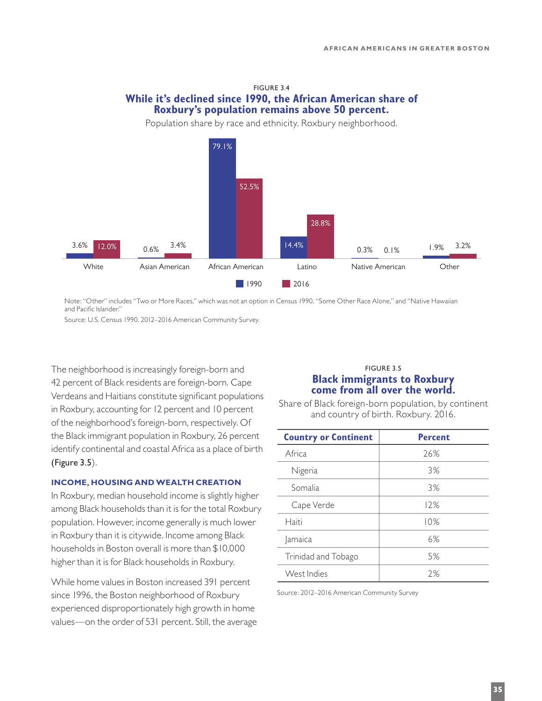# FIGURE 3.4 **While it's declined since 1990, the African American share of Roxbury's population remains above 50 percent.**

Population share by race and ethnicity. Roxbury neighborhood.



Note: "Other" includes "Two or More Races," which was not an option in Census 1990, "Some Other Race Alone," and "Native Hawaiian and Pacific Islander."

Source: U.S. Census 1990. 2012–2016 American Community Survey.

The neighborhood is increasingly foreign-born and 42 percent of Black residents are foreign-born. Cape Verdeans and Haitians constitute significant populations in Roxbury, accounting for 12 percent and 10 percent of the neighborhood's foreign-born, respectively. Of the Black immigrant population in Roxbury, 26 percent identify continental and coastal Africa as a place of birth (Figure 3.5).

#### **INCOME, HOUSING AND WEALTH CREATION**

In Roxbury, median household income is slightly higher among Black households than it is for the total Roxbury population. However, income generally is much lower in Roxbury than it is citywide. Income among Black households in Boston overall is more than \$10,000 higher than it is for Black households in Roxbury.

While home values in Boston increased 391 percent since 1996, the Boston neighborhood of Roxbury experienced disproportionately high growth in home values—on the order of 531 percent. Still, the average

## FIGURE 3.5 **Black immigrants to Roxbury come from all over the world.**

Share of Black foreign-born population, by continent and country of birth. Roxbury. 2016.

| <b>Country or Continent</b> | <b>Percent</b> |
|-----------------------------|----------------|
| Africa                      | 26%            |
| Nigeria                     | 3%             |
| Somalia                     | 3%             |
| Cape Verde                  | 12%            |
| Haiti                       | 10%            |
| Jamaica                     | 6%             |
| Trinidad and Tobago         | 5%             |
| West Indies                 | 7%             |

Source: 2012–2016 American Community Survey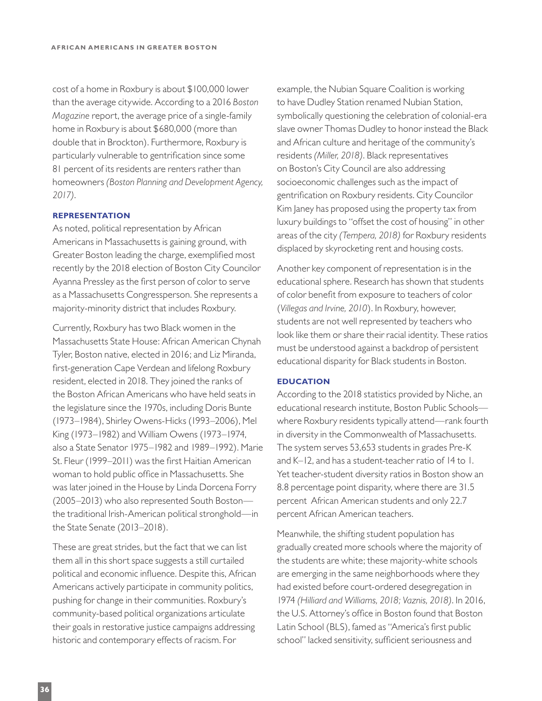cost of a home in Roxbury is about \$100,000 lower than the average citywide. According to a 2016 *Boston Magazine* report, the average price of a single-family home in Roxbury is about \$680,000 (more than double that in Brockton). Furthermore, Roxbury is particularly vulnerable to gentrification since some 81 percent of its residents are renters rather than homeowners *(Boston Planning and Development Agency, 2017)*.

#### **REPRESENTATION**

As noted, political representation by African Americans in Massachusetts is gaining ground, with Greater Boston leading the charge, exemplified most recently by the 2018 election of Boston City Councilor Ayanna Pressley as the first person of color to serve as a Massachusetts Congressperson. She represents a majority-minority district that includes Roxbury.

Currently, Roxbury has two Black women in the Massachusetts State House: African American Chynah Tyler, Boston native, elected in 2016; and Liz Miranda, first-generation Cape Verdean and lifelong Roxbury resident, elected in 2018. They joined the ranks of the Boston African Americans who have held seats in the legislature since the 1970s, including Doris Bunte (1973–1984), Shirley Owens-Hicks (1993–2006), Mel King (1973–1982) and William Owens (1973–1974, also a State Senator 1975–1982 and 1989–1992). Marie St. Fleur (1999–2011) was the first Haitian American woman to hold public office in Massachusetts. She was later joined in the House by Linda Dorcena Forry (2005–2013) who also represented South Boston the traditional Irish-American political stronghold—in the State Senate (2013–2018).

These are great strides, but the fact that we can list them all in this short space suggests a still curtailed political and economic influence. Despite this, African Americans actively participate in community politics, pushing for change in their communities. Roxbury's community-based political organizations articulate their goals in restorative justice campaigns addressing historic and contemporary effects of racism. For

example, the Nubian Square Coalition is working to have Dudley Station renamed Nubian Station, symbolically questioning the celebration of colonial-era slave owner Thomas Dudley to honor instead the Black and African culture and heritage of the community's residents *(Miller, 2018)*. Black representatives on Boston's City Council are also addressing socioeconomic challenges such as the impact of gentrification on Roxbury residents. City Councilor Kim Janey has proposed using the property tax from luxury buildings to "offset the cost of housing" in other areas of the city *(Tempera, 2018)* for Roxbury residents displaced by skyrocketing rent and housing costs.

Another key component of representation is in the educational sphere. Research has shown that students of color benefit from exposure to teachers of color (*Villegas and Irvine, 2010*). In Roxbury, however, students are not well represented by teachers who look like them or share their racial identity. These ratios must be understood against a backdrop of persistent educational disparity for Black students in Boston.

#### **EDUCATION**

According to the 2018 statistics provided by Niche, an educational research institute, Boston Public Schools where Roxbury residents typically attend—rank fourth in diversity in the Commonwealth of Massachusetts. The system serves 53,653 students in grades Pre-K and K–12, and has a student-teacher ratio of 14 to 1. Yet teacher-student diversity ratios in Boston show an 8.8 percentage point disparity, where there are 31.5 percent African American students and only 22.7 percent African American teachers.

Meanwhile, the shifting student population has gradually created more schools where the majority of the students are white; these majority-white schools are emerging in the same neighborhoods where they had existed before court-ordered desegregation in 1974 *(Hilliard and Williams, 2018; Vaznis, 2018)*. In 2016, the U.S. Attorney's office in Boston found that Boston Latin School (BLS), famed as "America's first public school" lacked sensitivity, sufficient seriousness and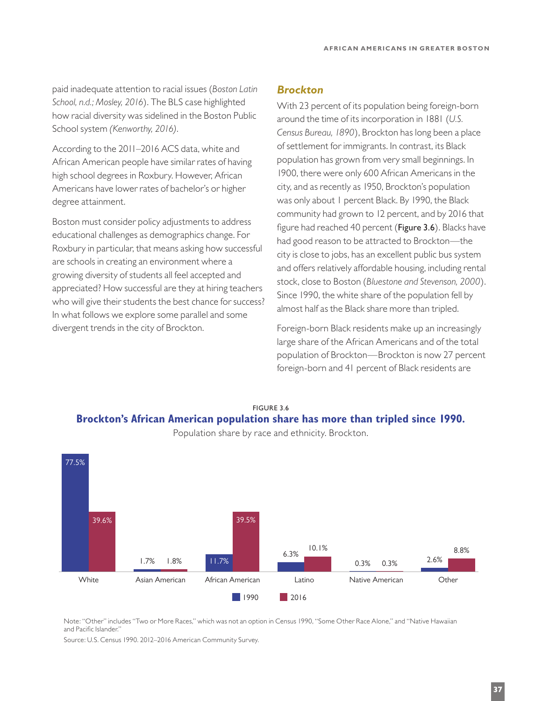paid inadequate attention to racial issues (*Boston Latin School, n.d.; Mosley, 2016*). The BLS case highlighted how racial diversity was sidelined in the Boston Public School system *(Kenworthy, 2016)*.

According to the 2011–2016 ACS data, white and African American people have similar rates of having high school degrees in Roxbury. However, African Americans have lower rates of bachelor's or higher degree attainment.

Boston must consider policy adjustments to address educational challenges as demographics change. For Roxbury in particular, that means asking how successful are schools in creating an environment where a growing diversity of students all feel accepted and appreciated? How successful are they at hiring teachers who will give their students the best chance for success? In what follows we explore some parallel and some divergent trends in the city of Brockton.

# *Brockton*

With 23 percent of its population being foreign-born around the time of its incorporation in 1881 (*U.S. Census Bureau, 1890*), Brockton has long been a place of settlement for immigrants. In contrast, its Black population has grown from very small beginnings. In 1900, there were only 600 African Americans in the city, and as recently as 1950, Brockton's population was only about 1 percent Black. By 1990, the Black community had grown to 12 percent, and by 2016 that figure had reached 40 percent (Figure 3.6). Blacks have had good reason to be attracted to Brockton—the city is close to jobs, has an excellent public bus system and offers relatively affordable housing, including rental stock, close to Boston (*Bluestone and Stevenson, 2000*). Since 1990, the white share of the population fell by almost half as the Black share more than tripled.

Foreign-born Black residents make up an increasingly large share of the African Americans and of the total population of Brockton—Brockton is now 27 percent foreign-born and 41 percent of Black residents are



FIGURE 3.6 **Brockton's African American population share has more than tripled since 1990.**

Note: "Other" includes "Two or More Races," which was not an option in Census 1990, "Some Other Race Alone," and "Native Hawaiian and Pacific Islander."

Source: U.S. Census 1990. 2012–2016 American Community Survey.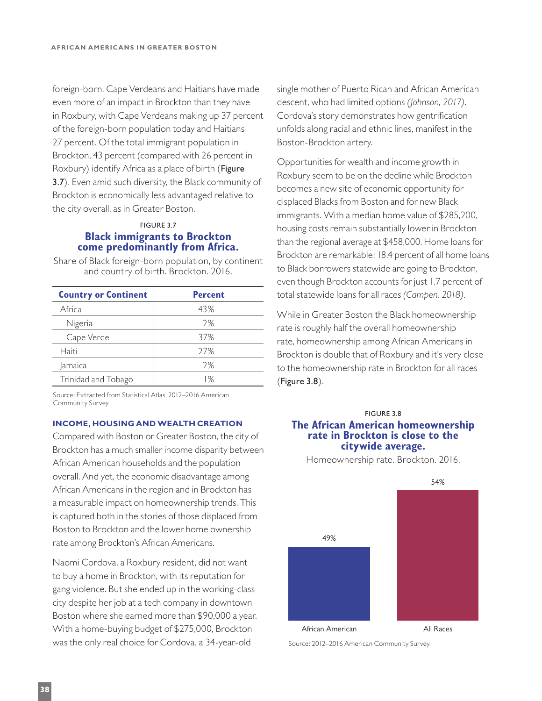foreign-born. Cape Verdeans and Haitians have made even more of an impact in Brockton than they have in Roxbury, with Cape Verdeans making up 37 percent of the foreign-born population today and Haitians 27 percent. Of the total immigrant population in Brockton, 43 percent (compared with 26 percent in Roxbury) identify Africa as a place of birth (Figure 3.7). Even amid such diversity, the Black community of Brockton is economically less advantaged relative to the city overall, as in Greater Boston.

## FIGURE 3.7 **Black immigrants to Brockton come predominantly from Africa.**

Share of Black foreign-born population, by continent and country of birth. Brockton. 2016.

| <b>Country or Continent</b> | <b>Percent</b> |
|-----------------------------|----------------|
| Africa                      | 43%            |
| Nigeria                     | 2%             |
| Cape Verde                  | 37%            |
| Haiti                       | 77%            |
| Jamaica                     | 7%             |
| Trinidad and Tobago         | 1%             |

Source: Extracted from Statistical Atlas, 2012–2016 American Community Survey.

## **INCOME, HOUSING AND WEALTH CREATION**

Compared with Boston or Greater Boston, the city of Brockton has a much smaller income disparity between African American households and the population overall. And yet, the economic disadvantage among African Americans in the region and in Brockton has a measurable impact on homeownership trends. This is captured both in the stories of those displaced from Boston to Brockton and the lower home ownership rate among Brockton's African Americans.

Naomi Cordova, a Roxbury resident, did not want to buy a home in Brockton, with its reputation for gang violence. But she ended up in the working-class city despite her job at a tech company in downtown Boston where she earned more than \$90,000 a year. With a home-buying budget of \$275,000, Brockton was the only real choice for Cordova, a 34-year-old

single mother of Puerto Rican and African American descent, who had limited options *(Johnson, 2017)*. Cordova's story demonstrates how gentrification unfolds along racial and ethnic lines, manifest in the Boston-Brockton artery.

Opportunities for wealth and income growth in Roxbury seem to be on the decline while Brockton becomes a new site of economic opportunity for displaced Blacks from Boston and for new Black immigrants. With a median home value of \$285,200, housing costs remain substantially lower in Brockton than the regional average at \$458,000. Home loans for Brockton are remarkable: 18.4 percent of all home loans to Black borrowers statewide are going to Brockton, even though Brockton accounts for just 1.7 percent of total statewide loans for all races *(Campen, 2018)*.

While in Greater Boston the Black homeownership rate is roughly half the overall homeownership rate, homeownership among African Americans in Brockton is double that of Roxbury and it's very close to the homeownership rate in Brockton for all races (Figure 3.8).

## FIGURE 3.8 **The African American homeownership rate in Brockton is close to the citywide average.**

Homeownership rate. Brockton. 2016.



Source: 2012–2016 American Community Survey.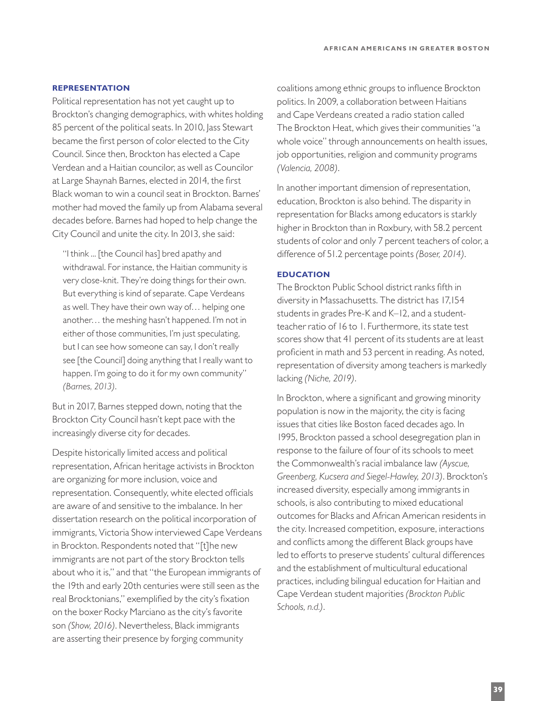## **REPRESENTATION**

Political representation has not yet caught up to Brockton's changing demographics, with whites holding 85 percent of the political seats. In 2010, Jass Stewart became the first person of color elected to the City Council. Since then, Brockton has elected a Cape Verdean and a Haitian councilor, as well as Councilor at Large Shaynah Barnes, elected in 2014, the first Black woman to win a council seat in Brockton. Barnes' mother had moved the family up from Alabama several decades before. Barnes had hoped to help change the City Council and unite the city. In 2013, she said:

"I think ... [the Council has] bred apathy and withdrawal. For instance, the Haitian community is very close-knit. They're doing things for their own. But everything is kind of separate. Cape Verdeans as well. They have their own way of… helping one another… the meshing hasn't happened. I'm not in either of those communities, I'm just speculating, but I can see how someone can say, I don't really see [the Council] doing anything that I really want to happen. I'm going to do it for my own community" *(Barnes, 2013)*.

But in 2017, Barnes stepped down, noting that the Brockton City Council hasn't kept pace with the increasingly diverse city for decades.

Despite historically limited access and political representation, African heritage activists in Brockton are organizing for more inclusion, voice and representation. Consequently, white elected officials are aware of and sensitive to the imbalance. In her dissertation research on the political incorporation of immigrants, Victoria Show interviewed Cape Verdeans in Brockton. Respondents noted that "[t]he new immigrants are not part of the story Brockton tells about who it is," and that "the European immigrants of the 19th and early 20th centuries were still seen as the real Brocktonians," exemplified by the city's fixation on the boxer Rocky Marciano as the city's favorite son *(Show, 2016)*. Nevertheless, Black immigrants are asserting their presence by forging community

coalitions among ethnic groups to influence Brockton politics. In 2009, a collaboration between Haitians and Cape Verdeans created a radio station called The Brockton Heat, which gives their communities "a whole voice" through announcements on health issues, job opportunities, religion and community programs *(Valencia, 2008)*.

In another important dimension of representation, education, Brockton is also behind. The disparity in representation for Blacks among educators is starkly higher in Brockton than in Roxbury, with 58.2 percent students of color and only 7 percent teachers of color, a difference of 51.2 percentage points *(Boser, 2014)*.

#### **EDUCATION**

The Brockton Public School district ranks fifth in diversity in Massachusetts. The district has 17,154 students in grades Pre-K and K–12, and a studentteacher ratio of 16 to 1. Furthermore, its state test scores show that 41 percent of its students are at least proficient in math and 53 percent in reading. As noted, representation of diversity among teachers is markedly lacking *(Niche, 2019)*.

In Brockton, where a significant and growing minority population is now in the majority, the city is facing issues that cities like Boston faced decades ago. In 1995, Brockton passed a school desegregation plan in response to the failure of four of its schools to meet the Commonwealth's racial imbalance law *(Ayscue, Greenberg, Kucsera and Siegel-Hawley, 2013)*. Brockton's increased diversity, especially among immigrants in schools, is also contributing to mixed educational outcomes for Blacks and African American residents in the city. Increased competition, exposure, interactions and conflicts among the different Black groups have led to efforts to preserve students' cultural differences and the establishment of multicultural educational practices, including bilingual education for Haitian and Cape Verdean student majorities *(Brockton Public Schools, n.d.)*.